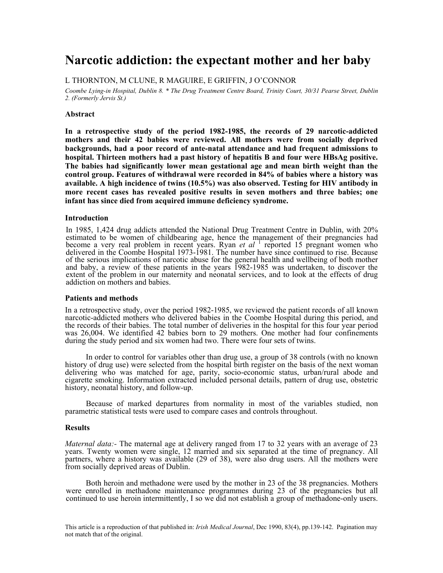# **Narcotic addiction: the expectant mother and her baby**

### L THORNTON, M CLUNE, R MAGUIRE, E GRIFFIN, J O'CONNOR

*Coombe Lying-in Hospital, Dublin 8. \* The Drug Treatment Centre Board, Trinity Court, 30/31 Pearse Street, Dublin 2. (Formerly Jervis St.)*

### **Abstract**

**In a retrospective study of the period 1982-1985, the records of 29 narcotic-addicted mothers and their 42 babies were reviewed. All mothers were from socially deprived backgrounds, had a poor record of ante-natal attendance and had frequent admissions to hospital. Thirteen mothers had a past history of hepatitis B and four were HBsAg positive. The babies had significantly lower mean gestational age and mean birth weight than the control group. Features of withdrawal were recorded in 84% of babies where a history was available. A high incidence of twins (10.5%) was also observed. Testing for HIV antibody in more recent cases has revealed positive results in seven mothers and three babies; one infant has since died from acquired immune deficiency syndrome.**

### **Introduction**

In 1985, 1,424 drug addicts attended the National Drug Treatment Centre in Dublin, with 20% estimated to be women of childbearing age, hence the management of their pregnancies had become a very real problem in recent years. Ryan *et al*<sup>1</sup> reported 15 pregnant women who delivered in the Coombe Hospital 1973-1981. The number have since continued to rise. Because of the serious implications of narcotic abuse for the general health and wellbeing of both mother and baby, a review of these patients in the years 1982-1985 was undertaken, to discover the extent of the problem in our maternity and neonatal services, and to look at the effects of drug addiction on mothers and babies.

### **Patients and methods**

In a retrospective study, over the period 1982-1985, we reviewed the patient records of all known narcotic-addicted mothers who delivered babies in the Coombe Hospital during this period, and the records of their babies. The total number of deliveries in the hospital for this four year period was 26,004. We identified 42 babies born to 29 mothers. One mother had four confinements during the study period and six women had two. There were four sets of twins.

 In order to control for variables other than drug use, a group of 38 controls (with no known history of drug use) were selected from the hospital birth register on the basis of the next woman delivering who was matched for age, parity, socio-economic status, urban/rural abode and cigarette smoking. Information extracted included personal details, pattern of drug use, obstetric history, neonatal history, and follow-up.

 Because of marked departures from normality in most of the variables studied, non parametric statistical tests were used to compare cases and controls throughout.

### **Results**

*Maternal data:-* The maternal age at delivery ranged from 17 to 32 years with an average of 23 years. Twenty women were single, 12 married and six separated at the time of pregnancy. All partners, where a history was available (29 of 38), were also drug users. All the mothers were from socially deprived areas of Dublin.

 Both heroin and methadone were used by the mother in 23 of the 38 pregnancies. Mothers were enrolled in methadone maintenance programmes during 23 of the pregnancies but all continued to use heroin intermittently, I so we did not establish a group of methadone-only users.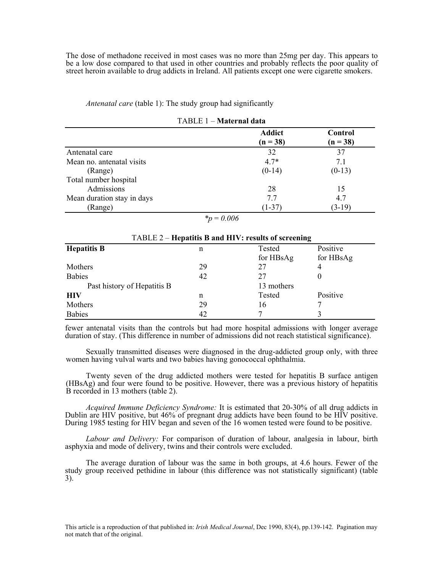The dose of methadone received in most cases was no more than 25mg per day. This appears to be a low dose compared to that used in other countries and probably reflects the poor quality of street heroin available to drug addicts in Ireland. All patients except one were cigarette smokers.

*Antenatal care* (table 1): The study group had significantly

|                            | <b>Addict</b><br>$(n = 38)$ | Control<br>$(n = 38)$ |
|----------------------------|-----------------------------|-----------------------|
| Antenatal care             | 32                          | 37                    |
| Mean no. antenatal visits  | $4.7*$                      | 7.1                   |
| (Range)                    | $(0-14)$                    | $(0-13)$              |
| Total number hospital      |                             |                       |
| Admissions                 | 28                          | 15                    |
| Mean duration stay in days | 7.7                         | 4.7                   |
| (Range)                    | $(1-37)$                    | $(3-19)$              |

|  | TABLE 1 – Maternal data |  |
|--|-------------------------|--|
|--|-------------------------|--|

*\*p* = *0.006* 

| TABLE 2 – Hepatitis B and HIV: results of screening |    |            |           |
|-----------------------------------------------------|----|------------|-----------|
| <b>Hepatitis B</b>                                  | n  | Tested     | Positive  |
|                                                     |    | for HBsAg  | for HBsAg |
| Mothers                                             | 29 | 27         | 4         |
| <b>Babies</b>                                       | 42 | 27         |           |
| Past history of Hepatitis B                         |    | 13 mothers |           |
| <b>HIV</b>                                          | n  | Tested     | Positive  |
| Mothers                                             | 29 | 16         |           |
| <b>Babies</b>                                       | 42 |            |           |

fewer antenatal visits than the controls but had more hospital admissions with longer average duration of stay. (This difference in number of admissions did not reach statistical significance).

 Sexually transmitted diseases were diagnosed in the drug-addicted group only, with three women having vulval warts and two babies having gonococcal ophthalmia.

 Twenty seven of the drug addicted mothers were tested for hepatitis B surface antigen (HBsAg) and four were found to be positive. However, there was a previous history of hepatitis B recorded in 13 mothers (table 2).

 *Acquired Immune Deficiency Syndrome:* It is estimated that 20-30% of all drug addicts in Dublin are HIV positive, but 46% of pregnant drug addicts have been found to be HIV positive. During 1985 testing for HIV began and seven of the 16 women tested were found to be positive.

 *Labour and Delivery:* For comparison of duration of labour, analgesia in labour, birth asphyxia and mode of delivery, twins and their controls were excluded.

 The average duration of labour was the same in both groups, at 4.6 hours. Fewer of the study group received pethidine in labour (this difference was not statistically significant) (table 3).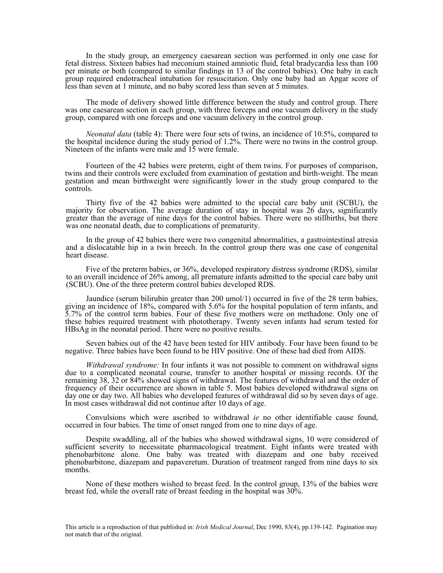In the study group, an emergency caesarean section was performed in only one case for fetal distress. Sixteen babies had meconium stained amniotic fluid, fetal bradycardia less than 100 per minute or both (compared to similar findings in 13 of the control babies). One baby in each group required endotracheal intubation for resuscitation. Only one baby had an Apgar score of less than seven at 1 minute, and no baby scored less than seven at 5 minutes.

 The mode of delivery showed little difference between the study and control group. There was one caesarean section in each group, with three forceps and one vacuum delivery in the study group, compared with one forceps and one vacuum delivery in the control group.

 *Neonatal data* (table 4): There were four sets of twins, an incidence of 10.5%, compared to the hospital incidence during the study period of 1.2%. There were no twins in the control group. Nineteen of the infants were male and 15 were female.

 Fourteen of the 42 babies were preterm, eight of them twins. For purposes of comparison, twins and their controls were excluded from examination of gestation and birth-weight. The mean gestation and mean birthweight were significantly lower in the study group compared to the controls.

 Thirty five of the 42 babies were admitted to the special care baby unit (SCBU), the majority for observation. The average duration of stay in hospital was 26 days, significantly greater than the average of nine days for the control babies. There were no stillbirths, but there was one neonatal death, due to complications of prematurity.

 In the group of 42 babies there were two congenital abnormalities, a gastrointestinal atresia and a dislocatable hip in a twin breech. In the control group there was one case of congenital heart disease.

 Five of the preterm babies, or 36%, developed respiratory distress syndrome (RDS), similar to an overall incidence of 26% among, all premature infants admitted to the special care baby unit (SCBU). One of the three preterm control babies developed RDS.

 Jaundice (serum bilirubin greater than 200 umol/1) occurred in five of the 28 term babies, giving an incidence of 18%, compared with 5.6% for the hospital population of term infants, and 5.7% of the control term babies. Four of these five mothers were on methadone. Only one of these babies required treatment with phototherapy. Twenty seven infants had serum tested for HBsAg in the neonatal period. There were no positive results.

 Seven babies out of the 42 have been tested for HIV antibody. Four have been found to be negative. Three babies have been found to be HIV positive. One of these had died from AIDS.

 *Withdrawal syndrome:* In four infants it was not possible to comment on withdrawal signs due to a complicated neonatal course, transfer to another hospital or missing records. Of the remaining 38, 32 or 84% showed signs of withdrawal. The features of withdrawal and the order of frequency of their occurrence are shown in table 5. Most babies developed withdrawal signs on day one or day two. All babies who developed features of withdrawal did so by seven days of age. In most cases withdrawal did not continue after 10 days of age.

 Convulsions which were ascribed to withdrawal *ie* no other identifiable cause found, occurred in four babies. The time of onset ranged from one to nine days of age.

 Despite swaddling, all of the babies who showed withdrawal signs, 10 were considered of sufficient severity to necessitate pharmacological treatment. Eight infants were treated with phenobarbitone alone. One baby was treated with diazepam and one baby received phenobarbitone, diazepam and papaveretum. Duration of treatment ranged from nine days to six months.

 None of these mothers wished to breast feed. In the control group, 13% of the babies were breast fed, while the overall rate of breast feeding in the hospital was 30%.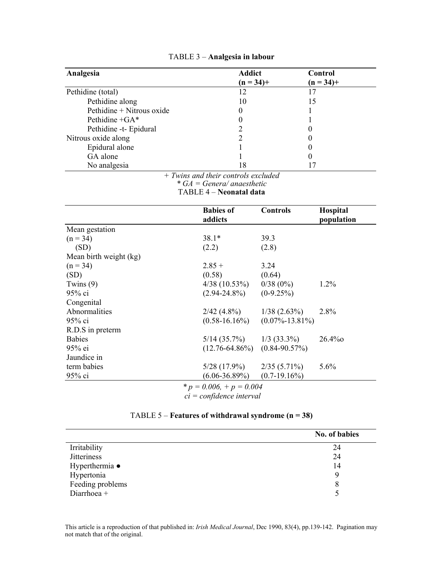| Analgesia                 | <b>Addict</b><br>$(n = 34) +$ | Control<br>$(n = 34) +$ |
|---------------------------|-------------------------------|-------------------------|
| Pethidine (total)         |                               | $\overline{17}$         |
| Pethidine along           | 10                            | 15                      |
| Pethidine + Nitrous oxide | 0                             |                         |
| Pethidine +GA*            | 0                             |                         |
| Pethidine -t- Epidural    |                               |                         |
| Nitrous oxide along       |                               |                         |
| Epidural alone            |                               |                         |
| GA alone                  |                               |                         |
| No analgesia              | 18<br>- -<br>.                |                         |

# TABLE 3 – **Analgesia in labour**

*+ Twins and their controls excluded* 

*\* GA = Genera/ anaesthetic*

TABLE 4 – **Neonatal data**

|                        | <b>Babies of</b>    | <b>Controls</b>      | Hospital   |
|------------------------|---------------------|----------------------|------------|
|                        | addicts             |                      | population |
| Mean gestation         |                     |                      |            |
| $(n = 34)$             | $38.1*$             | 39.3                 |            |
| (SD)                   | (2.2)               | (2.8)                |            |
| Mean birth weight (kg) |                     |                      |            |
| $(n = 34)$             | $2.85 +$            | 3.24                 |            |
| (SD)                   | (0.58)              | (0.64)               |            |
| Twins $(9)$            | $4/38$ (10.53%)     | $0/38(0\%)$          | $1.2\%$    |
| $95%$ ci               | $(2.94 - 24.8\%)$   | $(0-9.25%)$          |            |
| Congenital             |                     |                      |            |
| Abnormalities          | $2/42(4.8\%)$       | $1/38$ $(2.63\%)$    | 2.8%       |
| 95% ci                 | $(0.58 - 16.16\%)$  | $(0.07\% - 13.81\%)$ |            |
| R.D.S in preterm       |                     |                      |            |
| <b>Babies</b>          | $5/14$ $(35.7\%)$   | $1/3$ (33.3%)        | $26.4\%$   |
| 95% ei                 | $(12.76 - 64.86\%)$ | $(0.84 - 90.57\%)$   |            |
| Jaundice in            |                     |                      |            |
| term babies            | $5/28$ (17.9%)      | $2/35(5.71\%)$       | 5.6%       |
| $95%$ ci               | $(6.06 - 36.89\%)$  | $(0.7-19.16\%)$      |            |
|                        | s<br>0.001, 0.001   |                      |            |

*\* p = 0.006, + p = 0.004* 

*ci = confidence interval* 

# TABLE 5 – **Features of withdrawal syndrome (n = 38)**

|                    | No. of babies |
|--------------------|---------------|
| Irritability       | 24            |
| <b>Jitteriness</b> | 24            |
| Hyperthermia •     | 14            |
| Hypertonia         | q             |
| Feeding problems   | 8             |
| Diarrhoea +        |               |

This article is a reproduction of that published in: *Irish Medical Journal*, Dec 1990, 83(4), pp.139-142. Pagination may not match that of the original.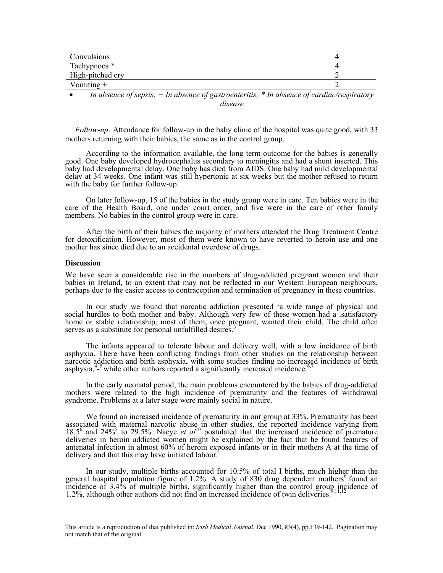| Convulsions             |  |
|-------------------------|--|
| Tachypnoea <sup>*</sup> |  |
| High-pitched cry        |  |
| Vomiting $+$            |  |

• *In absence of sepsis; + In absence of gastroenteritis; \* In absence of cardiac/respiratory disease* 

 *Follow-up:* Attendance for follow-up in the baby clinic of the hospital was quite good, with 33 mothers returning with their babies, the same as in the control group.

 According to the information available, the long term outcome for the babies is generally good. One baby developed hydrocephalus secondary to meningitis and had a shunt inserted. This baby had developmental delay. One baby has died from AIDS. One baby had mild developmental delay at 34 weeks. One infant was still hypertonic at six weeks but the mother refused to return with the baby for further follow-up.

 On later follow-up, 15 of the babies in the study group were in care. Ten babies were in the care of the Health Board, one under court order, and five were in the care of other family members. No babies in the control group were in care.

 After the birth of their babies the majority of mothers attended the Drug Treatment Centre for detoxification. However, most of them were known to have reverted to heroin use and one mother has since died due to an accidental overdose of drugs.

#### **Discussion**

We have seen a considerable rise in the numbers of drug-addicted pregnant women and their babies in Ireland, to an extent that may not be reflected in our Western European neighbours, perhaps due to the easier access to contraception and termination of pregnancy in these countries.

 In our study we found that narcotic addiction presented 'a wide range of physical and social hurdles to both mother and baby. Although very few of these women had a satisfactory home or stable relationship, most of them, once pregnant, wanted their child. The child often serves as a substitute for personal unfulfilled desires.<sup>3</sup>

 The infants appeared to tolerate labour and delivery well, with a low incidence of birth asphyxia. There have been conflicting findings from other studies on the relationship between narcotic addiction and birth asphyxia, with some studies finding no increased incidence of birth asphysia, $4\frac{3}{2}$  while other authors reported a significantly increased incidence.<sup>6,7</sup>

 In the early neonatal period, the main problems encountered by the babies of drug-addicted mothers were related to the high incidence of prematurity and the features of withdrawal syndrome. Problems at a later stage were mainly social in nature.

 We found an increased incidence of prematurity in our group at 33%. Prematurity has been associated with maternal narcotic abuse in other studies, the reported incidence varying from 18.5<sup>6</sup> and 24%<sup>8</sup> to 29.5%. Naeye *et al*<sup>10</sup> postulated that the increased incidence of premature deliveries in heroin addicted women might be explained by the fact that he found features of antenatal infection in almost 60% of heroin exposed infants or in their mothers A at the time of delivery and that this may have initiated labour.

 In our study, multiple births accounted for 10.5% of total I births, much higher than the general hospital population figure of 1.2%. A study of 830 drug dependent mothers<sup>6</sup> found an incidence of 3.4% of multiple births, significantly higher than the control group incidence of<br>incidence of 3.4% of multiple births, significantly higher than the control group incidence of 1.2%, although other authors did not find an increased incidence of twin deliveries.

This article is a reproduction of that published in: *Irish Medical Journal*, Dec 1990, 83(4), pp.139-142. Pagination may not match that of the original.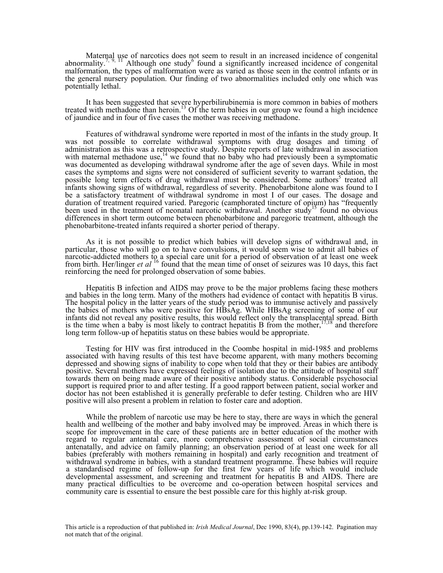Maternal use of narcotics does not seem to result in an increased incidence of congenital abnormality.<sup>7, 9, 11</sup> Although one study<sup>6</sup> found a significantly increased incidence of congenital malformation, the types of malformation were as varied as those seen in the control infants or in the general nursery population. Our finding of two abnormalities included only one which was potentially lethal.

 It has been suggested that severe hyperbilirubinemia is more common in babies of mothers treated with methadone than heroin.13 Of the term babies in our group we found a high incidence of jaundice and in four of five cases the mother was receiving methadone.

 Features of withdrawal syndrome were reported in most of the infants in the study group. It was not possible to correlate withdrawal symptoms with drug dosages and timing of administration as this was a retrospective study. Despite reports of late withdrawal in association with maternal methadone use, $14$  we found that no baby who had previously been a symptomatic was documented as developing withdrawal syndrome after the age of seven days. While in most cases the symptoms and signs were not considered of sufficient severity to warrant sedation, the possible long term effects of drug withdrawal must be considered. Some authors<sup>5</sup> treated all infants showing signs of withdrawal, regardless of severity. Phenobarbitone alone was found to I be a satisfactory treatment of withdrawal syndrome in most I of our cases. The dosage and duration of treatment required varied. Paregoric (camphorated tincture of opium) has "frequently been used in the treatment of neonatal narcotic withdrawal. Another study<sup>15</sup> found no obvious differences in short term outcome between phenobarbitone and paregoric treatment, although the phenobarbitone-treated infants required a shorter period of therapy.

 As it is not possible to predict which babies will develop signs of withdrawal and, in particular, those who will go on to have convulsions, it would seem wise to admit all babies of narcotic-addicted mothers to a special care unit for a period of observation of at least one week from birth. Her/linger *et al* 16 found that the mean time of onset of seizures was 10 days, this fact reinforcing the need for prolonged observation of some babies.

 Hepatitis B infection and AIDS may prove to be the major problems facing these mothers and babies in the long term. Many of the mothers had evidence of contact with hepatitis B virus. The hospital policy in the latter years of the study period was to immunise actively and passively the babies of mothers who were positive for HBsAg. While HBsAg screening of some of our infants did not reveal any positive results, this would reflect only the transplacental spread. Birth is the time when a baby is most likely to contract hepatitis B from the mother,  $^{17,18}$  and therefore is the time when a baby is most likely to contract hepatitis B from the mother,  $\log$  long term follow-up of hepatitis status on these babies would be appropriate.

 Testing for HIV was first introduced in the Coombe hospital in mid-1985 and problems associated with having results of this test have become apparent, with many mothers becoming depressed and showing signs of inability to cope when told that they or their babies are antibody positive. Several mothers have expressed feelings of isolation due to the attitude of hospital staff towards them on being made aware of their positive antibody status. Considerable psychosocial support is required prior to and after testing. If a good rapport between patient, social worker and doctor has not been established it is generally preferable to defer testing. Children who are HIV positive will also present a problem in relation to foster care and adoption.

 While the problem of narcotic use may be here to stay, there are ways in which the general health and wellbeing of the mother and baby involved may be improved. Areas in which there is scope for improvement in the care of these patients are in better education of the mother with regard to regular antenatal care, more comprehensive assessment of social circumstances antenatally, and advice on family planning; an observation period of at least one week for all babies (preferably with mothers remaining in hospital) and early recognition and treatment of withdrawal syndrome in babies, with a standard treatment programme. These babies will require a standardised regime of follow-up for the first few years of life which would include developmental assessment, and screening and treatment for hepatitis B and AIDS. There are many practical difficulties to be overcome and co-operation between hospital services and community care is essential to ensure the best possible care for this highly at-risk group.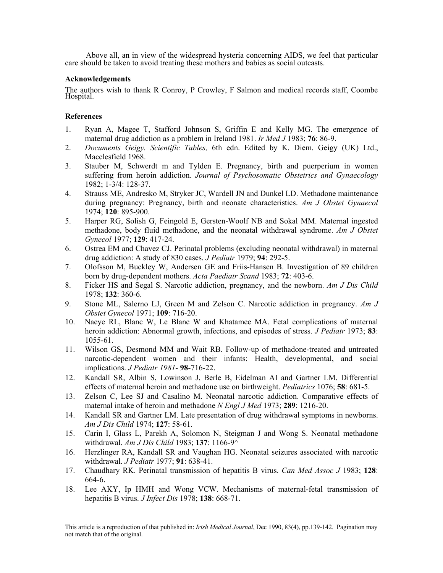Above all, an in view of the widespread hysteria concerning AIDS, we feel that particular care should be taken to avoid treating these mothers and babies as social outcasts.

### **Acknowledgements**

The authors wish to thank R Conroy, P Crowley, F Salmon and medical records staff, Coombe Hospital.

## **References**

- 1. Ryan A, Magee T, Stafford Johnson S, Griffin E and Kelly MG. The emergence of maternal drug addiction as a problem in Ireland 1981. *Ir Med J* 1983; **76**: 86-9.
- 2. *Documents Geigy. Scientific Tables,* 6th edn. Edited by K. Diem. Geigy (UK) Ltd., Macclesfield 1968.
- 3. Stauber M, Schwerdt m and Tylden E. Pregnancy, birth and puerperium in women suffering from heroin addiction. *Journal of Psychosomatic Obstetrics and Gynaecology*  1982; 1-3/4: 128-37.
- 4. Strauss ME, Andresko M, Stryker JC, Wardell JN and Dunkel LD. Methadone maintenance during pregnancy: Pregnancy, birth and neonate characteristics. *Am J Obstet Gynaecol*  1974; **120**: 895-900.
- 5. Harper RG, Solish G, Feingold E, Gersten-Woolf NB and Sokal MM. Maternal ingested methadone, body fluid methadone, and the neonatal withdrawal syndrome. *Am J Obstet Gynecol* 1977; **129**: 417-24.
- 6. Ostrea EM and Chavez CJ. Perinatal problems (excluding neonatal withdrawal) in maternal drug addiction: A study of 830 cases. *J Pediatr* 1979; **94**: 292-5.
- 7. Olofsson M, Buckley W, Andersen GE and Friis-Hansen B. Investigation of 89 children born by drug-dependent mothers. *Acta Paediatr Scand* 1983; **72**: 403-6.
- 8. Ficker HS and Segal S. Narcotic addiction, pregnancy, and the newborn. *Am J Dis Child*  1978; **132**: 360-6.
- 9. Stone ML, Salerno LJ, Green M and Zelson C. Narcotic addiction in pregnancy. *Am J Obstet Gynecol* 1971; **109**: 716-20.
- 10. Naeye RL, Blanc W, Le Blanc W and Khatamee MA. Fetal complications of maternal heroin addiction: Abnormal growth, infections, and episodes of stress. *J Pediatr* 1973; **83**: 1055-61.
- 11. Wilson GS, Desmond MM and Wait RB. Follow-up of methadone-treated and untreated narcotic-dependent women and their infants: Health, developmental, and social implications. *J Pediatr 1981-* **98**-716-22.
- 12. Kandall SR, Albin S, Lowinson J, Berle B, Eidelman AI and Gartner LM. Differential effects of maternal heroin and methadone use on birthweight. *Pediatrics* 1076; **58**: 681-5.
- 13. Zelson C, Lee SJ and Casalino M. Neonatal narcotic addiction. Comparative effects of maternal intake of heroin and methadone *N Engl J Med* 1973; **289**: 1216-20.
- 14. Kandall SR and Gartner LM. Late presentation of drug withdrawal symptoms in newborns. *Am J Dis Child* 1974; **127**: 58-61.
- 15. Carin I, Glass L, Parekh A, Solomon N, Steigman J and Wong S. Neonatal methadone withdrawal. *Am J Dis Child* 1983; **137**: 1166-9^
- 16. Herzlinger RA, Kandall SR and Vaughan HG. Neonatal seizures associated with narcotic withdrawal. *J Pediatr* 1977; **91**: 638-41.
- 17. Chaudhary RK. Perinatal transmission of hepatitis B virus. *Can Med Assoc J* 1983; **128**: 664-6.
- 18. Lee AKY, Ip HMH and Wong VCW. Mechanisms of maternal-fetal transmission of hepatitis B virus. *J Infect Dis* 1978; **138**: 668-71.